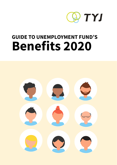

# **GUIDE TO UNEMPLOYMENT FUND'S Benefits 2020**

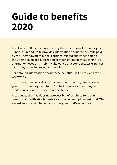# **Guide to benefits 2020**

This Guide to Benefits, published by the Federation of Unemployment Funds in Finland (TYJ), provides information about the benefits paid by the unemployment funds: earnings-related allowance paid to the unemployed, job alternation compensation for those taking job alternation leave and mobility allowance that compensates expenses caused by travelling to work or moving.

For detailed information about these benefits, visit TYJ's website at www.tyj.fi.

If you have questions about your personal situation, please contact your own unemployment fund. Contact details for unemployment funds can be found at the end of this Guide.

Please note that TYJ does not process benefit claims. Send your benefit claim with attachments to your own unemployment fund. The easiest way to claim benefits is to use your fund's e-services.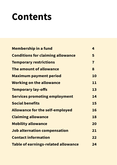# **Contents**

| <b>Membership in a fund</b>                | 4                       |
|--------------------------------------------|-------------------------|
| <b>Conditions for claiming allowance</b>   | 5                       |
| <b>Temporary restrictions</b>              | $\overline{\mathbf{r}}$ |
| The amount of allowance                    | 8                       |
| <b>Maximum payment period</b>              | 10                      |
| <b>Working on the allowance</b>            | 11                      |
| <b>Temporary lay-offs</b>                  | 13                      |
| <b>Services promoting employment</b>       | 14                      |
| <b>Social benefits</b>                     | 15                      |
| <b>Allowance for the self-employed</b>     | 16                      |
| <b>Claiming allowance</b>                  | 18                      |
| <b>Mobility allowance</b>                  | 20                      |
| Job alternation compensation               | 21                      |
| <b>Contact information</b>                 | 22                      |
| <b>Table of earnings-related allowance</b> | 24                      |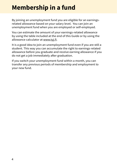## <span id="page-3-0"></span>**Membership in a fund**

By joining an unemployment fund you are eligible for an earningsrelated allowance based on your salary level. You can join an unemployment fund when you are employed or self-employed.

You can estimate the amount of your earnings-related allowance by using the table included at the end of this Guide or by using the allowance calculator at www.tyj.fi.

It is a good idea to join an unemployment fund even if you are still a student. This way you can accumulate the right to earnings-related allowance before you graduate and receive earning allowance if you do not get a job immediately after graduation.

If you switch your unemployment fund within a month, you can transfer any previous periods of membership and employment to your new fund.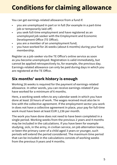## <span id="page-4-0"></span>**Conditions for claiming allowance**

You can get earnings-related allowance from a fund if:

- you are unemployed in part or in full (for example in a part-time job or temporarily laid-off)
- you seek full-time employment and have registered as an unemployed job seeker with the Employment and Economic Development Office (TE Office);
- you are a member of an unemployment fund;
- you have worked for 26 weeks (about 6 months) during your fund membership.

Register as a job-seeker via the TE Office's online service as soon as you become unemployed. Registration is valid immediately, but cannot be applied retrospectively to, for example, the previous day. Earnings-related allowance can only be paid during days in which you are registered at the TE Office.

## **Six months' work history is enough**

Working 26 weeks is required for the payment of earnings-related allowance. In other words, you can receive earnings-related if you have worked for a minimum of 6 months.

Here, a working week refers to any calendar week in which you have done at least 18 hours of work. The wages received must also be in line with the collective agreement. If the employment sector you work in does not have a collective agreement in place, your pay for full-time work must have been at least EUR 1,236 per month.

The work you have done does not need to have been completed in a single period. Working weeks from the previous 2 years and 4 months may be included in the calculations. If you have been for example studying, sick, in the army, in civilian service, on job alternation leave, or been the primary carer of a child aged 3 years or younger, such periods will extend the period considered. The maximum time period that can be included in the calculations consists of working weeks from the previous 9 years and 4 months.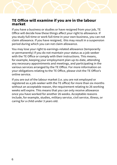### **TE Office will examine if you are in the labour market**

If you have a business or studies or have resigned from your job, TE Office will decide how these things affect your right to allowance. If you study full-time or work full-time in your own business, you can not claim allowance. If you have resigned, this may result in a suspension period during which you can not claim allowance.

You may lose your right to earnings-related allowance (temporarily or permanently) if you do not maintain your status as a job-seeker with the TE Office or comply with their instructions. This means, for example, keeping your employment plan up-to-date, attending any necessary appointments and meetings, and participating in the various services arranged by the TE Office. For more information on your obligations relating to the TE Office, please visit the TE Office's online service.

If you are out of the labour market (i.e. you are not employed or registered as a job-seeker with the TE office) for more than six months without an acceptable reason, the requirement relating to 26 working weeks will expire. This means that you can only receive allowance once you have worked for another 26 weeks. Acceptable reasons include, for example, studies, military service, civil service, illness, or caring for a child under 3 years old.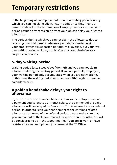## <span id="page-6-0"></span>**Temporary restrictions**

In the beginning of unemployment there is a waiting period during which you can not claim allowance. In addition to this, financial benefits related to the termination of employment or a suspension period resulting from resigning from your job can delay your right to allowance.

The periods during which you cannot claim the allowance due to receiving financial benefits (deferral periods) or due to leaving your employment (suspension periods) may overlap, but your fiveday waiting period will begin only after any possible deferral or suspension periods.

## **5-day waiting period**

Waiting period lasts 5 weekdays (Mon-Fri) and you can not claim allowance during the waiting period. If you are partially employed, your waiting period only accumulates when you are not working. In this case, the waiting period must accrue within eight successive calendar weeks.

### **A golden handshake delays your right to allowance**

If you have received financial benefits from your employer, such as a payment equivalent to a 3-month salary, the payment of the daily allowance will be delayed for 3 months. This is referred to as a deferral period. In order to keep your entitlement to the earnings-related allowance at the end of the deferral period, please make sure that you are not out of the labour market for more than 6 months. You will be considered to be in the labour market if you are in work or have registered as an unemployed job-seeker at the TE Office.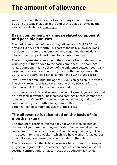## <span id="page-7-0"></span>**The amount of allowance**

You can estimate the amount of your earnings-related allowance by using the table included at the end of this Guide or by using the allowance calculator at www.tyj.fi.

### **Basic component, earnings-related component and possible bonuses**

The basic component of the earnings allowance is EUR 33.66 per day and EUR 724 per month. This part of the daily allowance does not depend on your pre-unemployment wages and the full daily allowance is always at least equal to the basic component.

The earnings-related component, the amount of which depends on your wages, is then added to the basic component. The earningsrelated component is 45 per cent of the difference between your daily wage and the basic component. If your monthly salary is more than EUR 3,198, the earnings-related component is 20% of the excess.

If you have children under the age of 18, you can get a child increase. The childcare increase is EUR 5.28 for one child, EUR 7.76 for two children, and EUR 10 for three or more children.

If you participate in a service promoting employment, you can also get an increased allowance. The increased earnings-related component is 55 per cent of the difference between your daily pay and the basic component. If your monthly salary is more than EUR 3,198, the earnings-related component is 25% of the excess.

### **The allowance is calculated on the basis of six months' salary**

The amount of earnings-related daily allowance is calculated on the basis of your pre-unemployment salary. Wages are taken into consideration for at least 6 months. As a rule, wages are only taken into account for those weeks in which you have worked for at least 18 hours. Holiday compensation is not included in the salary.

The salary on which the daily allowance is based does not correspond fully to your gross salary, as a percentage reduction based on social security contributions is made. In 2020 the deduction is 4.14%.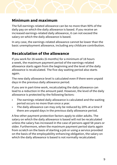## **Minimum and maximum**

The full earnings-related allowance can be no more than 90% of the daily pay on which the daily allowance is based. If you receive an increased earnings-related daily allowance, it can not exceed the salary on which the daily allowance is based.

In any case, the earnings-related allowance cannot be lower than the basic unemployment allowance, including any childcare contribution.

## **Recalculation of the allowance**

If you work for 26 weeks (6 months) for a minimum of 18 hours a week, the maximum payment period of the earnings-related allowance starts again from the beginning and the level of the daily allowance is recalculated. The five-day waiting period also starts again.

The new daily allowance level is calculated even if there were unpaid days in the previous daily allowance period.

If you are in part-time work, recalculating the daily allowance can lead to a reduction in the amount paid. However, the level of the daily allowance is protected by the following factors:

- The earnings-related daily allowance is calculated and the waiting period occurs no more than once a year.
- The daily allowance can may only be reduced by 20% at a time if there are unpaid days in the previous daily allowance period.

A few other payment protection factors apply to older adults. The salary on which the daily allowance is based will not be recalculated unless the salary has increased in the case of persons aged 58 years or older. Furthermore, when the maximum payment period starts again from scratch on the basis of starting a job or using a service provided on the basis of the employability enhancing obligation, the salary on which the daily allowance is based is not normally recalculated.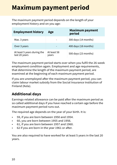## <span id="page-9-0"></span>**Maximum payment period**

The maximum payment period depends on the length of your employment history and on you age:

| <b>Employment history</b>                    | Age                  | <b>Maximum payment</b><br>period |
|----------------------------------------------|----------------------|----------------------------------|
| Max. 3 years                                 |                      | 300 days (14 months)             |
| Over 3 years                                 |                      | 400 days (18 months)             |
| At least 5 years during the<br>last 20 years | At least 58<br>years | 500 days (23 months)             |

The maximum payment period starts over when you fulfil the 26-week employment condition again. Employment and age requirements, that determine the length of the maximum payment period, are examined at the beginning of each maximum payment period.

If you are unemployed after the maximum payment period, you can claim labour market subsidy from the Social Insurance Institution of Finland (Kela).

## **Additional days**

Earnings-related allowance can be paid after the maximum period as so called additional days if you have reached a certain age before the maximum payment period runs out.

The required age depends on the year of your birth. It is:

- 59, if you are born between 1950 and 1954.
- 60, you are born between 1955 and 1956.
- 61, if you are born between 1957 and 1960.
- 62 if you are born in the year 1961 or after.

You are also required to have worked for at least 5 years in the last 20 years.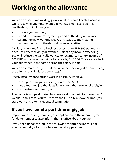## <span id="page-10-0"></span>**Working on the allowance**

You can do part-time work, gig work or start a small-scale business while receiving unemployment allowance. Small-scale work is worthwhile, as it allows you to:

- Increase your earnings
- Extend the maximum payment period of the daily allowance
- Accumulate new working weeks and leads to the maximum payment period for the daily allowance resetting.

A salary or income from a business of less than EUR 300 per month does not affect the daily allowance. Half of any income exceeding EUR 300 will reduce the daily allowance. For example, a salary income of 500 EUR will reduce the daily allowance by EUR 100. The salary affects your allowance in the same period the salary is paid.

You can estimate how your salary will affect the daily allowance using the allowance calculator at www.tyj.fi.

Receiving allowance during work is possible, when you

- have a part-time job (working hours max. 80 %)
- have a full-time job that lasts for no more than two weeks (gig job)
- are part-time self-empoyed.

Allowance is not paid during full-time work that lasts for more than 2 weeks. In this case, you will receive the full daily allowance until you start work and after its eventual termination.

## **If you have found a part-time or gig job**

Report your working hours in your application to the unemployment fund. Remember to also inform the TE Office about your work.

If you get paid for the job in the following month, the job will not affect your daily allowance before the salary payment.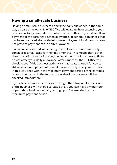# **Having a small-scale business**

Having a small-scale business affects the daily allowance in the same way as part-time work. The TE Office will evaluate how extensive your business activity is and decides whether it is sufficiently small to allow payment of the earnings-related allowance. In general, a business that has been practiced alongside full-time employment for 6 months does not prevent payment of the daily allowance.

If a business is started while being unemployed, it is automatically considered small-scale for the first 4 months. This means that, other than in relation to your income, the first 4 months of business activity do not affect your daily allowance. After 4 months, the TE Office will check to see if this business activity is small-scale enough for you to still receive unemployment benefits. You can only start your business in this way once within the maximum payment period of the earningsrelated allowance. In the future, the scale of the business will be checked immediately.

If your business activity lasts for no longer than two weeks, the scale of the business will not be evaluated at all. You can have any number of periods of business activity lasting up to 2 weeks during the maximum payment period.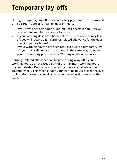## <span id="page-12-0"></span>**Temporary lay-offs**

During a temporary lay-off, work and salary payments are interrupted until a certain date or for certain days or hours.

- If you have been temporarily laid-off until a certain date, you will receive a full earnings-related allowance.
- If your working days have been reduced due to a temporary layoff, you will receive a full earnings-related allowance for the days in which you are laid-off.
- If your working hours have been reduced due to a temporary layoff, your daily allowance is calculated in the same way as when you were working part-time (see Working on the allowance).

Earnings-related allowance can be paid during a lay-off if your working hours do not exceed 80% of the maximum working hours in your industry. During lay-offs working hours are calculated per calendar week. This means that if your working hours exceed the 80% limit during a calendar week, you can not receive allowance for that week.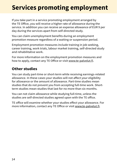## <span id="page-13-0"></span>**Services promoting employment**

If you take part in a service promoting employment arranged by the TE Office, you will receive a higher rate of allowance during the service. In addition you can receive an expense allowance of EUR 9 per day during the services apart from self-directed study.

You can claim unemployment benefits during an employment promotion measure regardless of a waiting or suspension period.

Employment promotion measures include training in job seeking, career training, work trials, labour market training, self-directed study and rehabilitative work.

For more information on the employment promotion measures and how to apply, contact any TE Office or visit www.te-palvelut.fi.

## **Other studies**

You can study part-time or short-term while receiving earnings-related allowance. In these cases your studies will not affect your eligibility for allowance or the amount of allowance. Part-time studies mean studies that do not prevent you from accepting full-time work. Shortterm studies mean studies that last for no more than six months.

You can not claim allowance while studying full-time, unless the studies are self-directed studies agreed upon with the TE office.

TE office will examine whether your studies effect your allowance. For more information, contact any TE Office or visit www.te-palvelut.fi.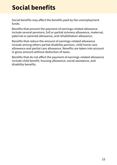## <span id="page-14-0"></span>**Social benefits**

Social benefits may affect the benefits paid by the unemployment funds.

Benefits that prevent the payment of earnings-related allowance include several pensions, full or partial sickness allowance, maternal, paternal or parental allowance, and rehabilitation allowance.

Benefits that reduce the amount of earnings-related allowance include among others partial disability pension, child home care allowance and partial care allowance. Benefits are taken into account in gross amount without deduction of taxes.

Benefits that do not affect the payment of earnings-related allowance include child benefit, housing allowance, social assistance, and disability benefits.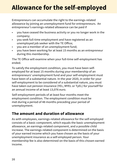## <span id="page-15-0"></span>**Allowance for the self-employed**

Entrepreneurs can accumulate the right to the earnings-related allowance by joining an unemployment fund for entrepreneurs. An entrepreneur's earnings-related allowance can be paid if

- you have ceased the business activity or you no longer work in the company;
- you seek full-time employment and have registered as an unemployed job seeker with the TE Office;
- you are a member of an unemployment fund;
- you have been working for at least 15 months as an entrepreneur during this membership.

The TE Office will examine when your full-time self-employment has ended.

To satisfy the employment condition, you must have been selfemployed for at least 15 months during your membership of an entrepreneurs' unemployment fund and your self-employment must have been of a substantial nature. In the year 2020, in order for your self-employment to be considered of a substantial nature, you must have taken out pension insurance (YEL; MYEL or TyEL) for yourself for an annual income of at least 13,076 euro.

Self-employment periods of at least four months meet the employment condition. The employment condition must be met during a period of 48 months preceding your period of unemployment.

## **The amount and duration of allowance**

As with employees, earnings-related allowance for the self-employed consists of a basic component, which equals the basic unemployment allowance, an earnings-related component, and a possible child increase. The earnings-related component is determined on the basis of your earned income which you have chosen as the basis of your unemployment insurance as a self-employed person. Your membership fee is also determined on the basis of this chosen earned income.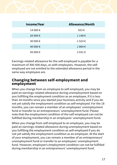

| Income/Year | <b>Allowance/Month</b> |
|-------------|------------------------|
| 14 000 €    | 923 $\epsilon$         |
| 20 000 €    | 1148€                  |
| 30 000 €    | 1523€                  |
| 40 000 €    | 1864€                  |
| 50 000 €    | 2031€                  |

Earnings-related allowance for the self-employed is payable for a maximum of 300-500 days, as with employees. However, the selfemployed are not entitled to the extended allowance period in the same way employees are.

### **Changing between self-employment and employment**

When you change from an employee to self-employed, you may be paid an earnings-related allowance during unemployment based on you fulfilling the employment condition as an employee, if it is less than 18 months since you started your business activity and if you do not yet satisfy the employment condition as self-employed. For the 18 months, you can remain a member of an employees' unemployment fund or transfer to an entrepreneurs' unemployment fund. Please note that the employment condition of the self-employed can not be fulfilled during membership in an employees' unemployment fund.

When you change from self-employed to an employee, you may be paid an earnings-related allowance during unemployment based on you fulfilling the employment condition as self-employed if you do not yet satisfy the employment condition as an employee. At the start of your employment, you can remain a member of an entrepreneurs' unemployment fund or transfer to an employees' unemployment fund. However, employee's employment condition can not be fulfilled during membership in an entrepreneurs' unemployment fund.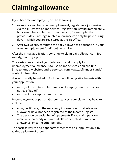## <span id="page-17-0"></span>**Claiming allowance**

If you become unemployed, do the following

- 1. As soon as you become unemployment, register as a job-seeker via the TE Office's online service. Registration is valid immediately, but cannot be applied retrospectively to, for example, the previous day. Earnings-related allowance can only be paid during days in which you are registered at the TE Office.
- 2. After two weeks, complete the daily allowance application in your own unemployment fund's online service.

After the initial application, continue to claim daily allowance in fourweekly/monthly cycles.

The easiest way to start your job search and to apply for unemployment allowance is to use online services. You can find links to funds' websites and e-services from www.tyi.fi under Funds' contact infromation.

You will usually be asked to include the following attachments with your application

- A copy of the notice of termination of employment contract or notice of lay-off;
- A copy of the employment contract.

Depending on your personal circumstances, your claim may have to include:

- A pay certificate, if the necessary information to calculate your allowance have not been registered at the Income Register;
- The decision on social benefit payments if you claim pension, maternity, paternity or parental allowance, child home care allowance, or some other benefit.

The easiest way to add paper attachments to an e-application is by taking a picture of them.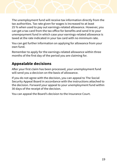

The unemployment fund will receive tax information directly from the tax authorities. Tax rate given for wages is increased to at least 25 % when used to pay out earnings-related allowance. However, you can get a tax card from the tax office for benefits and send it to your unempoyment fund in which case your earnings-related allowance is taxed at the rate indicated in your tax card with no minimum rate.

You can get further information on applying for allowance from your own fund.

Remember to apply for the earnings-related allowance within three months of the first day of the period you are claiming for.

## **Appealable decisions**

After your first claim has been processed, your unemployment fund will send you a decicion on the basis of allowance.

If you do not agree with the decision, you can appeal to The Social Security Appeal Board in accordance with the instructions attached to the decision. Forward your appeal to your unemployment fund within 30 days of the receipt of the decision.

You can appeal the Board's decision to the Insurance Court.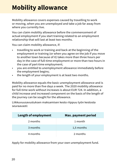## <span id="page-19-0"></span>**Mobility allowance**

Mobility allowance covers expenses caused by travelling to work or moving, when you are unemployed and take a job far away from where you currently live.

You can claim mobility allowance before the commencement of actual employment if you start training related to an employment relationship that will last at least two months.

You can claim mobility allowance, if:

- travelling to work or training and back at the beginning of the employment or training (or when you agree on the job if you move to another town because of it) takes more than three hours per day in the case of full-time employment or more than two hours in the case of part-time employment;
- you are entitled to unemployment allowance immediately before the employment begins;
- the length of your employment is at least two months.

Mobility allowance equals the basic unemployment allowance and is paid for no more than five days a week. The 2020 mobility allowance for full-time work without increases is about EUR 724. In addition, a child increase and increased component on the basis of the length of the journey can be sought for the allowance.

Liikkuvuusavustuksen maksamisen kesto riippuu työn kestosta seuraavasti:

| Length of employment | Max. payment period |
|----------------------|---------------------|
| 2 months             | 1 month             |
| 3 months             | 1,5 months          |
| 4 months             | 2 months            |

Apply for mobility allowance from your own unemployment fund.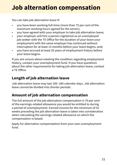## <span id="page-20-0"></span>**Job alternation compensation**

You can take job alternation leave if:

- you have been working full-time (more than 75 per cent of the maximum working hours agreed for the sector);
- you have agreed with your employer to take job alternation leave;
- your employer will hire a person registered as an unemployed job seeker with the TE Office for the duration of your leave your employment with the same employer has continued without interruption for at least 13 months before your leave begins, and;
- you have accrued at least 20 years of employment history before your leave begins.

If you are unsure about meeting the condition regarding employment history, contact your unemployment fund. If you have questions about the other requirements for taking job alternation leave, contact a TE Office.

## **Length of job alternation leave**

Job alternation leave may last 100–180 calendar days. Job alternation leave cannot be divided into shorter periods.

## **Amount of job alternation compensation**

The full amount of the job alternation compensation is 70 per cent of the earnings-related allowance you would be entitled to during a period of unemployment. Earned income for the minimum of 52 weeks preceding the job alternation leave is taken into consideration when calculating the earnings-related allowance on which the compensation is based.

Apply for alternation compenstation from your own unemployment fund.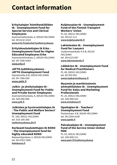## <span id="page-21-0"></span>**Contact information**

#### **Erityisalojen Toimihenkilöiden tk - Unemployment Fund for Special Service and Clerical Employees**

Asemamiehenkatu 4, 00520 HELSINKI tel. 09 6132 3224 **[www.erto.fi/palvelut/tyottomyyskassa](http://www.erto.fi/palvelut/tyottomyyskassa)**

#### **Erityiskoulutettujen tk Erko - Unemployment Fund for Higher Educated Employees Erko**

Asemamiehenkatu 2, 00520 HELSINKI tel. 09 7206 4343 **[www.erko.fi](http://www.erko.fi )**

### **JATTK-työttömyyskassa - JATTK Unemployment Fund**

Opastinsilta 8 B, 00520 HELSINKI tel. 09 7206 820 **[www.jattk.fi](http://www.jattk.fi )**

#### **Julkis- ja yksityisalojen tk - Unemployment Fund for Public and Private Sector Employees**

Asemamiehenkatu 4, 00520 HELSINKI tel. 020 690 069 **[www.jytk.fi](http://www.jytk.fi )**

### **Julkisten ja hyvinvointialojen tk - The Public and Welfare Sectors' Unemployment Fund**

PL 100, 00531 HELSINKI tel. 010 190 300 **[tyottomyyskassa.jhl.fi](http://tyottomyyskassa.jhl.fi )**

### **[Korkeasti koulutettujen tk KOKO](http://tyottomyyskassa.jhl.fi )  [- The Unemployment fund for](http://tyottomyyskassa.jhl.fi )  [highly educated KOKO](http://tyottomyyskassa.jhl.fi )**

[Ratavartijankatu 2, 00520 HELSINKI](http://tyottomyyskassa.jhl.fi ) [tel. 09 4763 7600](http://tyottomyyskassa.jhl.fi ) **[kokokassa.fi](http://tyottomyyskassa.jhl.fi )**

### **Kuljetusalan tk - Unemployment Fund of the Finnish Transport Workers' Union**

PL 65, 00531 HELSINKI tel. 09 613 111 **[www.kuljetusalantk.fi](http://www.kuljetusalantk.fi )**

### **Lakimiesten tk - Unemployment Fund for Lawyers**

Uudenmaankatu 4-6 B, 00120 HELSINKI tel. 09 6123 067 **[www.lakimiestentk.fi](http://www.lakimiestentk.fi)**

### **Lääkärien tk - Unemployment Fund for Medical Practitioners**

PL 49, 00501 HELSINKI tel. 09 393 091 **[www.laakarientkassa.fi](http://www.laakarientkassa.fi )**

#### **Myynnin ja markkinoinnin ammattilaisten tk - Unemployment Fund for Sales and Marketing Professionals**

PL 25, 00521 HELSINKI tel. 020 690 422 **[www.mmakassa.fi](http://www.mmakassa.fi)**

#### **Opettajien tk - Teachers' Unemployment Fund**

Pasilankatu 4 B, 00240 HELSINKI tel. 09 2294 4100 **[www.opetk.fi](http://www.opetk.fi )**

#### **Palvelualojen tk - Unemployment Fund of the Service Union United PAM**

PL 93, 00531 HELSINKI tel. 020 690 211 **[www.pam.fi/tyottomyyskassa](http://www.pam.fi/tyottomyyskassa )**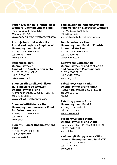

### **Paperityöväen tk - Finnish Paper Workers' Unemployment Fund**

PL 349, 00531 HELSINKI tel. 020 690 429 **[www.paperiliitto.fi/tyottomyyskassa](http://www.paperiliitto.fi/tyottomyyskassa)**

#### **Posti- ja logistiikka-alan tk - Postal and Logistics Employees' Unemployment Fund**

PL 189, 00531 HELSINKI tel. 09 6131 1780 **[www.pautk.fi](http://www.pautk.fi)**

#### **Rakennusalan tk - Unemployment Fund of the Construction sector**  PL 135, 70101 KUOPIO

tel. 020 690 230 **[rakennuskassa.fi](http://rakennuskassa.fi )**

#### **Suomen Elintarviketyöläisten tk - Finnish Food Workers' Unemployment Fund**

Asemamiehenkatu 2, 00520 HELSINKI tel. 040 451 8451 **[www.selry.fi/tyottomyyskassa](http://www.selry.fi/tyottomyyskassa)**

#### **Suomen Yrittäjäin tk - The Unemployment Insurance Fund for Entrepreneurs**

PL 999, 00101 HELSINKI tel. 09 6224 830 **[www.syt.fi](http://www.syt.fi)**

### **Super tk - Super Unemployment Fund**

PL 117, 00521 HELSINKI tel. 09 2727 9377 **[www.supertk.fi](http://www.supertk.fi)**

### **Sähköalojen tk - Unemployment Fund of Finnish Electriacal Workers**

PL 774, 33101 TAMPERE tel. 03 252 0300 **[www.sahkoliitto.fi/tyottomyyskassa](http://www.sahkoliitto.fi/tyottomyyskassa)**

#### **Teollisuuden tk - The Unemployment Fund of Finnish Industrial Workers**

PL 116, 00531 HELSINKI tel. 020 690 455 **[teollisuuskassa.fi](http://teollisuuskassa.fi)**

### **Terveydenhuoltoalan tk - Unemployment Fund for Health and Social Care Professionals**

PL 70, 00060 TEHY tel. 09 5422 7300 **[www.tehytk.fi](http://www.tehytk.fi )**

### **Työttömyyskassa Finka - Unemployment Fund Finka**

Ratavartijankatu 2 B, 00520 HELSINKI tel. 09 868 9400 **[finka.fi](http://finka.fi)**

#### **Työttömyyskassa Pro - Unemployment Fund Pro**

PL 228, 00181 Helsinki tel. 09 1727 3444 **[www.prokassa.fi](http://www.prokassa.fi )**

#### **Työttömyyskassa Statia - Unemployment Fund Statia**

Ratamestarinkatu 11, 00520 HELSINKI tel. 020 7289 780 **[www.statia.fi](http://www.statia.fi)**

#### **Yleinen työttömyyskassa YTK - General Unemployment Fund YTK** PL 100, 32201 LOIMAA

tel. 02 7607 620 **[www.ytk.fi](http://www.ytk.fi )**